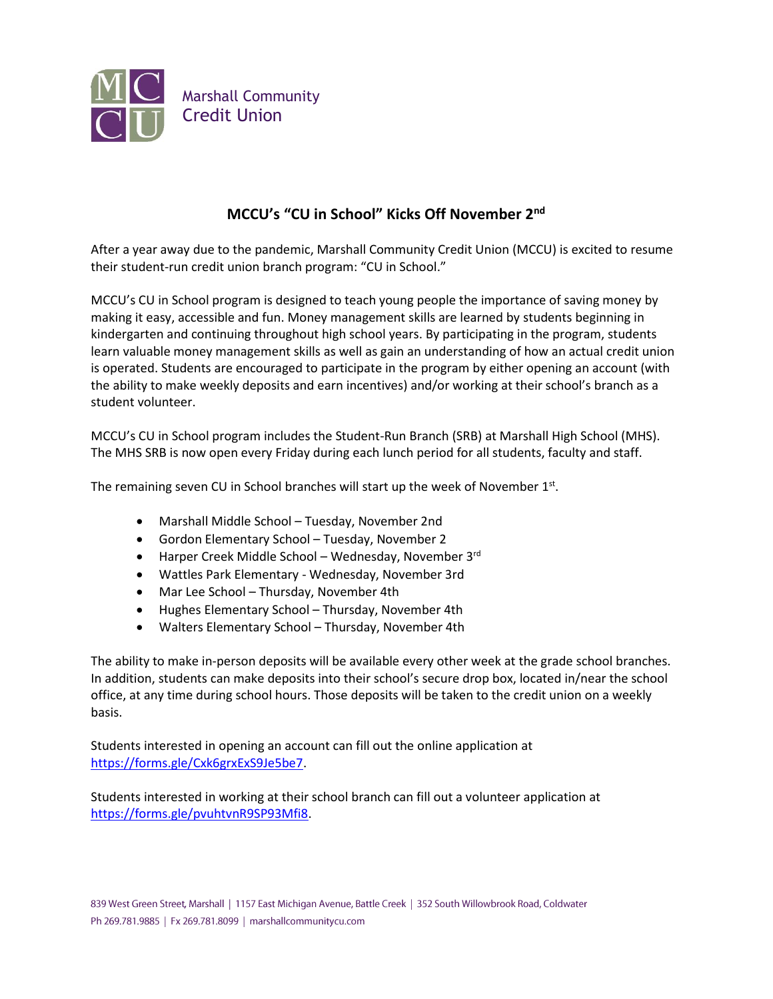

## **MCCU's "CU in School" Kicks Off November 2nd**

After a year away due to the pandemic, Marshall Community Credit Union (MCCU) is excited to resume their student-run credit union branch program: "CU in School."

MCCU's CU in School program is designed to teach young people the importance of saving money by making it easy, accessible and fun. Money management skills are learned by students beginning in kindergarten and continuing throughout high school years. By participating in the program, students learn valuable money management skills as well as gain an understanding of how an actual credit union is operated. Students are encouraged to participate in the program by either opening an account (with the ability to make weekly deposits and earn incentives) and/or working at their school's branch as a student volunteer.

MCCU's CU in School program includes the Student-Run Branch (SRB) at Marshall High School (MHS). The MHS SRB is now open every Friday during each lunch period for all students, faculty and staff.

The remaining seven CU in School branches will start up the week of November  $1<sup>st</sup>$ .

- Marshall Middle School Tuesday, November 2nd
- Gordon Elementary School Tuesday, November 2
- Harper Creek Middle School Wednesday, November 3rd
- Wattles Park Elementary Wednesday, November 3rd
- Mar Lee School Thursday, November 4th
- Hughes Elementary School Thursday, November 4th
- Walters Elementary School Thursday, November 4th

The ability to make in-person deposits will be available every other week at the grade school branches. In addition, students can make deposits into their school's secure drop box, located in/near the school office, at any time during school hours. Those deposits will be taken to the credit union on a weekly basis.

Students interested in opening an account can fill out the online application at [https://forms.gle/Cxk6grxExS9Je5be7.](https://forms.gle/Cxk6grxExS9Je5be7)

Students interested in working at their school branch can fill out a volunteer application at [https://forms.gle/pvuhtvnR9SP93Mfi8.](https://forms.gle/pvuhtvnR9SP93Mfi8)